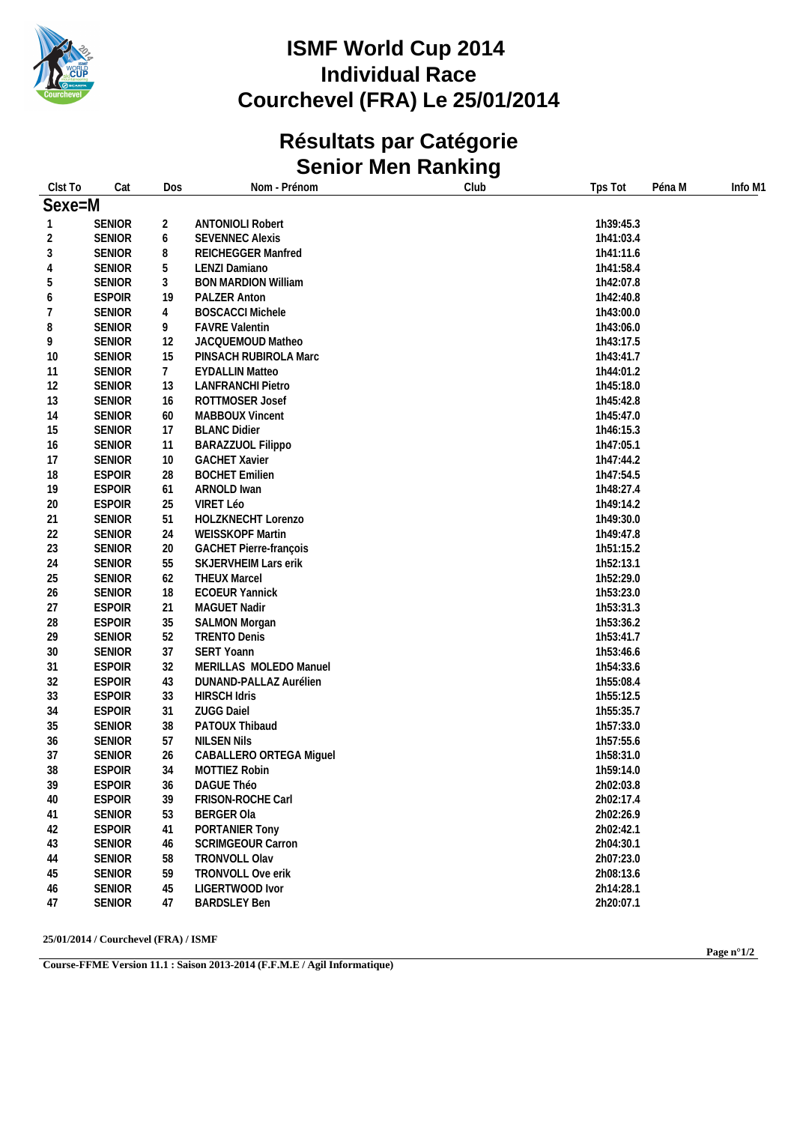

# **Résultats par Catégorie Senior Men Ranking**

| Clst To      | Cat           | Dos             | Nom - Prénom                  | Club | Tps Tot<br>Péna M | Info M1 |
|--------------|---------------|-----------------|-------------------------------|------|-------------------|---------|
| Sexe=M       |               |                 |                               |      |                   |         |
| $\mathbf{1}$ | <b>SENIOR</b> | $\overline{c}$  | <b>ANTONIOLI Robert</b>       |      | 1h39:45.3         |         |
| 2            | SENIOR        | 6               | <b>SEVENNEC Alexis</b>        |      | 1h41:03.4         |         |
| 3            | <b>SENIOR</b> | 8               | REICHEGGER Manfred            |      | 1h41:11.6         |         |
| 4            | <b>SENIOR</b> | 5               | LENZI Damiano                 |      | 1h41:58.4         |         |
| 5            | <b>SENIOR</b> | $\mathfrak{Z}$  | <b>BON MARDION William</b>    |      | 1h42:07.8         |         |
| 6            | <b>ESPOIR</b> | 19              | PALZER Anton                  |      | 1h42:40.8         |         |
| 7            | <b>SENIOR</b> | 4               | <b>BOSCACCI Michele</b>       |      | 1h43:00.0         |         |
| 8            | <b>SENIOR</b> | 9               | <b>FAVRE Valentin</b>         |      | 1h43:06.0         |         |
| 9            | <b>SENIOR</b> | 12              | JACQUEMOUD Matheo             |      | 1h43:17.5         |         |
| 10           | <b>SENIOR</b> | 15              | PINSACH RUBIROLA Marc         |      | 1h43:41.7         |         |
| 11           | <b>SENIOR</b> | $7\phantom{.0}$ | <b>EYDALLIN Matteo</b>        |      | 1h44:01.2         |         |
| 12           | <b>SENIOR</b> | 13              | <b>LANFRANCHI Pietro</b>      |      | 1h45:18.0         |         |
| 13           | <b>SENIOR</b> | 16              | ROTTMOSER Josef               |      | 1h45:42.8         |         |
| 14           | <b>SENIOR</b> | 60              | MABBOUX Vincent               |      | 1h45:47.0         |         |
| 15           | SENIOR        | 17              | <b>BLANC Didier</b>           |      | 1h46:15.3         |         |
| 16           | <b>SENIOR</b> | 11              | BARAZZUOL Filippo             |      | 1h47:05.1         |         |
| 17           | <b>SENIOR</b> | 10              | <b>GACHET Xavier</b>          |      | 1h47:44.2         |         |
| 18           | <b>ESPOIR</b> | 28              | <b>BOCHET Emilien</b>         |      | 1h47:54.5         |         |
| 19           | <b>ESPOIR</b> | 61              | ARNOLD Iwan                   |      | 1h48:27.4         |         |
| 20           | <b>ESPOIR</b> | 25              | VIRET Léo                     |      | 1h49:14.2         |         |
| 21           | <b>SENIOR</b> | 51              | HOLZKNECHT Lorenzo            |      | 1h49:30.0         |         |
| 22           | <b>SENIOR</b> | 24              | WEISSKOPF Martin              |      | 1h49:47.8         |         |
| 23           | <b>SENIOR</b> | 20              | <b>GACHET Pierre-françois</b> |      | 1h51:15.2         |         |
| 24           | <b>SENIOR</b> | 55              | SKJERVHEIM Lars erik          |      | 1h52:13.1         |         |
| 25           | <b>SENIOR</b> | 62              | <b>THEUX Marcel</b>           |      | 1h52:29.0         |         |
| 26           | <b>SENIOR</b> | 18              | <b>ECOEUR Yannick</b>         |      | 1h53:23.0         |         |
| 27           | <b>ESPOIR</b> | 21              | MAGUET Nadir                  |      | 1h53:31.3         |         |
| 28           | <b>ESPOIR</b> | 35              | <b>SALMON Morgan</b>          |      | 1h53:36.2         |         |
| 29           | <b>SENIOR</b> | 52              | <b>TRENTO Denis</b>           |      | 1h53:41.7         |         |
| 30           | <b>SENIOR</b> | 37              | SERT Yoann                    |      | 1h53:46.6         |         |
| 31           | <b>ESPOIR</b> | 32              | MERILLAS MOLEDO Manuel        |      | 1h54:33.6         |         |
| 32           | <b>ESPOIR</b> | 43              | DUNAND-PALLAZ Aurélien        |      | 1h55:08.4         |         |
| 33           | <b>ESPOIR</b> | 33              | <b>HIRSCH Idris</b>           |      | 1h55:12.5         |         |
| 34           | <b>ESPOIR</b> | 31              | <b>ZUGG Daiel</b>             |      | 1h55:35.7         |         |
| 35           | <b>SENIOR</b> | 38              | PATOUX Thibaud                |      | 1h57:33.0         |         |
| 36           | <b>SENIOR</b> | 57              | <b>NILSEN Nils</b>            |      | 1h57:55.6         |         |
| 37           | <b>SENIOR</b> | 26              | CABALLERO ORTEGA Miguel       |      | 1h58:31.0         |         |
| 38           | <b>ESPOIR</b> | 34              | <b>MOTTIEZ Robin</b>          |      | 1h59:14.0         |         |
| 39           | <b>ESPOIR</b> | 36              | DAGUE Théo                    |      | 2h02:03.8         |         |
| 40           | <b>ESPOIR</b> | 39              | FRISON-ROCHE Carl             |      | 2h02:17.4         |         |
| 41           | <b>SENIOR</b> | 53              | <b>BERGER Ola</b>             |      | 2h02:26.9         |         |
| 42           | <b>ESPOIR</b> | 41              | PORTANIER Tony                |      | 2h02:42.1         |         |
| 43           | <b>SENIOR</b> | 46              | <b>SCRIMGEOUR Carron</b>      |      | 2h04:30.1         |         |
| 44           | <b>SENIOR</b> | 58              | TRONVOLL Olav                 |      | 2h07:23.0         |         |
| 45           | SENIOR        | 59              | TRONVOLL Ove erik             |      | 2h08:13.6         |         |
| 46           | SENIOR        | 45              | LIGERTWOOD Ivor               |      | 2h14:28.1         |         |
| 47           | SENIOR        | 47              | <b>BARDSLEY Ben</b>           |      | 2h20:07.1         |         |

**25/01/2014 / Courchevel (FRA) / ISMF**

**Course-FFME Version 11.1 : Saison 2013-2014 (F.F.M.E / Agil Informatique)**

**Page n°1/2**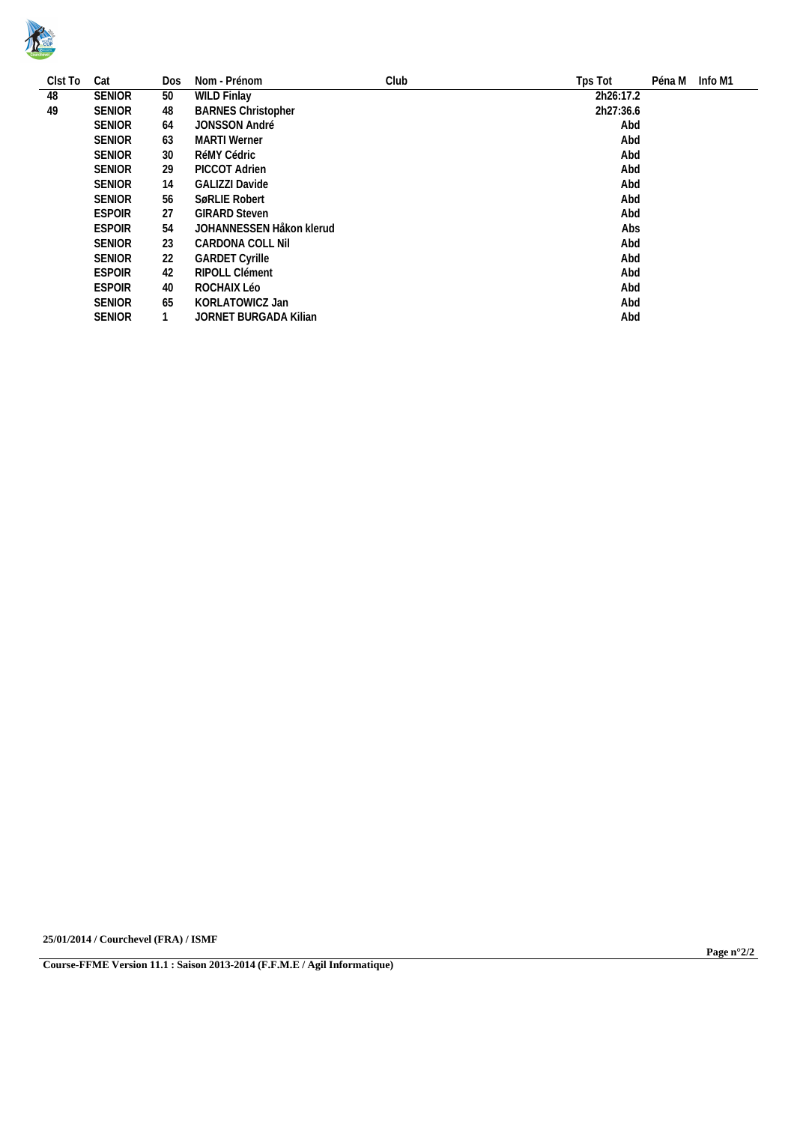

| Clst To | Cat           | Dos | Nom - Prénom                           | Club | Tps Tot   | Péna M Info M1 |  |  |  |  |
|---------|---------------|-----|----------------------------------------|------|-----------|----------------|--|--|--|--|
| 48      | <b>SENIOR</b> | 50  | <b>WILD Finlay</b>                     |      | 2h26:17.2 |                |  |  |  |  |
| 49      | <b>SENIOR</b> | 48  | 2h27:36.6<br><b>BARNES Christopher</b> |      |           |                |  |  |  |  |
|         | <b>SENIOR</b> | 64  | <b>JONSSON André</b>                   |      | Abd       |                |  |  |  |  |
|         | <b>SENIOR</b> | 63  | MARTI Werner                           |      | Abd       |                |  |  |  |  |
|         | <b>SENIOR</b> | 30  | RéMY Cédric                            | Abd  |           |                |  |  |  |  |
|         | <b>SENIOR</b> | 29  | PICCOT Adrien                          |      | Abd       |                |  |  |  |  |
|         | <b>SENIOR</b> | 14  | Abd<br>GALIZZI Davide                  |      |           |                |  |  |  |  |
|         | <b>SENIOR</b> | 56  | Abd<br>SøRLIE Robert                   |      |           |                |  |  |  |  |
|         | <b>ESPOIR</b> | 27  | Abd<br><b>GIRARD Steven</b>            |      |           |                |  |  |  |  |
|         | <b>ESPOIR</b> | 54  | JOHANNESSEN Håkon klerud<br>Abs        |      |           |                |  |  |  |  |
|         | <b>SENIOR</b> | 23  | CARDONA COLL Nil                       |      | Abd       |                |  |  |  |  |
|         | <b>SENIOR</b> | 22  | <b>GARDET Cyrille</b>                  |      | Abd       |                |  |  |  |  |
|         | <b>ESPOIR</b> | 42  | RIPOLL Clément                         |      | Abd       |                |  |  |  |  |
|         | <b>ESPOIR</b> | 40  | ROCHAIX Léo                            |      | Abd       |                |  |  |  |  |
|         | <b>SENIOR</b> | 65  | KORLATOWICZ Jan                        |      | Abd       |                |  |  |  |  |
|         | <b>SENIOR</b> |     | <b>JORNET BURGADA Kilian</b>           |      | Abd       |                |  |  |  |  |

**25/01/2014 / Courchevel (FRA) / ISMF**

**Page n°2/2**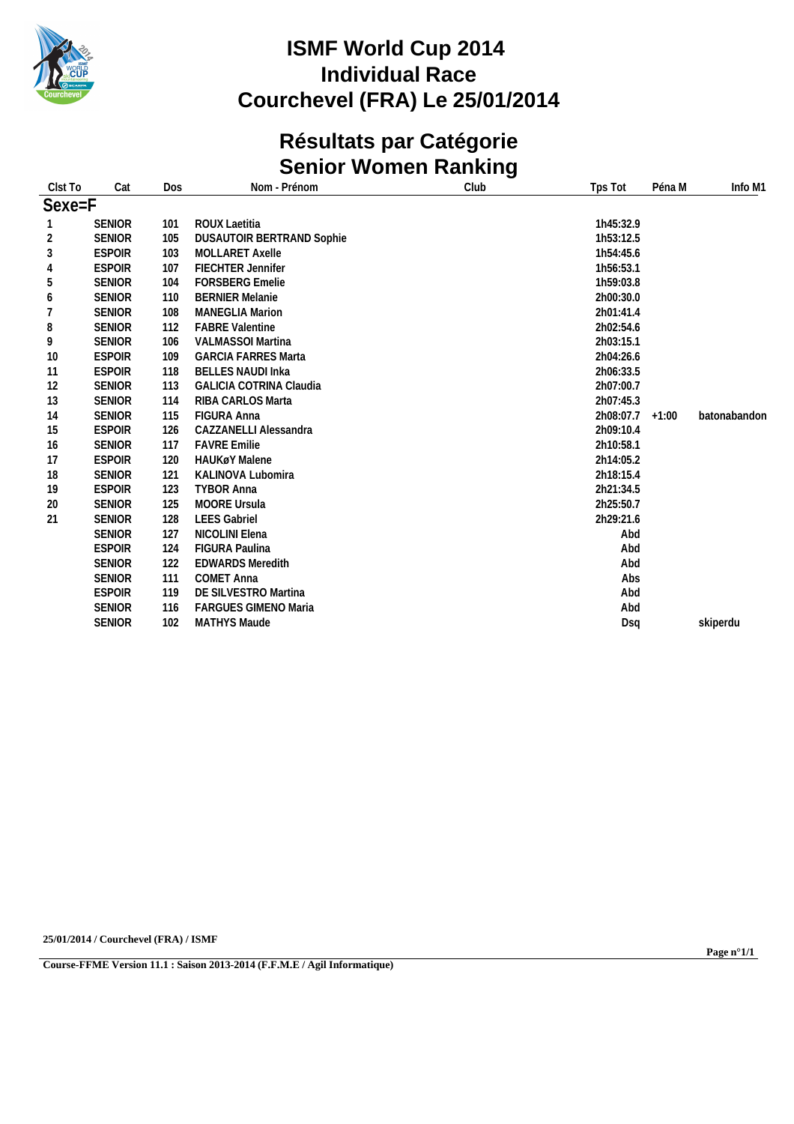

## **Résultats par Catégorie Senior Women Ranking**

| Clst To        | Cat           | Dos | Nom - Prénom                     | Club | Tps Tot   | Péna M  | Info M1      |
|----------------|---------------|-----|----------------------------------|------|-----------|---------|--------------|
| Sexe=F         |               |     |                                  |      |           |         |              |
|                | <b>SENIOR</b> | 101 | ROUX Laetitia                    |      | 1h45:32.9 |         |              |
| $\overline{2}$ | <b>SENIOR</b> | 105 | <b>DUSAUTOIR BERTRAND Sophie</b> |      | 1h53:12.5 |         |              |
| $\sqrt{3}$     | <b>ESPOIR</b> | 103 | <b>MOLLARET Axelle</b>           |      | 1h54:45.6 |         |              |
| $\overline{4}$ | <b>ESPOIR</b> | 107 | FIECHTER Jennifer                |      | 1h56:53.1 |         |              |
| 5              | <b>SENIOR</b> | 104 | <b>FORSBERG Emelie</b>           |      | 1h59:03.8 |         |              |
| 6              | <b>SENIOR</b> | 110 | <b>BERNIER Melanie</b>           |      | 2h00:30.0 |         |              |
| 7              | <b>SENIOR</b> | 108 | <b>MANEGLIA Marion</b>           |      | 2h01:41.4 |         |              |
| 8              | <b>SENIOR</b> | 112 | <b>FABRE Valentine</b>           |      | 2h02:54.6 |         |              |
| 9              | <b>SENIOR</b> | 106 | VALMASSOI Martina                |      | 2h03:15.1 |         |              |
| 10             | <b>ESPOIR</b> | 109 | <b>GARCIA FARRES Marta</b>       |      | 2h04:26.6 |         |              |
| 11             | <b>ESPOIR</b> | 118 | <b>BELLES NAUDI Inka</b>         |      | 2h06:33.5 |         |              |
| 12             | <b>SENIOR</b> | 113 | <b>GALICIA COTRINA Claudia</b>   |      | 2h07:00.7 |         |              |
| 13             | <b>SENIOR</b> | 114 | RIBA CARLOS Marta                |      | 2h07:45.3 |         |              |
| 14             | <b>SENIOR</b> | 115 | <b>FIGURA Anna</b>               |      | 2h08:07.7 | $+1:00$ | batonabandon |
| 15             | <b>ESPOIR</b> | 126 | CAZZANELLI Alessandra            |      | 2h09:10.4 |         |              |
| 16             | <b>SENIOR</b> | 117 | <b>FAVRE Emilie</b>              |      | 2h10:58.1 |         |              |
| 17             | <b>ESPOIR</b> | 120 | <b>HAUKøY Malene</b>             |      | 2h14:05.2 |         |              |
| 18             | <b>SENIOR</b> | 121 | <b>KALINOVA Lubomira</b>         |      | 2h18:15.4 |         |              |
| 19             | <b>ESPOIR</b> | 123 | <b>TYBOR Anna</b>                |      | 2h21:34.5 |         |              |
| 20             | <b>SENIOR</b> | 125 | <b>MOORE Ursula</b>              |      | 2h25:50.7 |         |              |
| 21             | <b>SENIOR</b> | 128 | <b>LEES Gabriel</b>              |      | 2h29:21.6 |         |              |
|                | <b>SENIOR</b> | 127 | NICOLINI Elena                   |      | Abd       |         |              |
|                | <b>ESPOIR</b> | 124 | FIGURA Paulina                   |      | Abd       |         |              |
|                | <b>SENIOR</b> | 122 | <b>EDWARDS Meredith</b>          |      | Abd       |         |              |
|                | <b>SENIOR</b> | 111 | <b>COMET Anna</b>                |      | Abs       |         |              |
|                | <b>ESPOIR</b> | 119 | DE SILVESTRO Martina             |      | Abd       |         |              |
|                | <b>SENIOR</b> | 116 | <b>FARGUES GIMENO Maria</b>      |      | Abd       |         |              |
|                | <b>SENIOR</b> | 102 | MATHYS Maude                     |      | Dsq       |         | skiperdu     |

**25/01/2014 / Courchevel (FRA) / ISMF**

**Course-FFME Version 11.1 : Saison 2013-2014 (F.F.M.E / Agil Informatique)**

**Page n°1/1**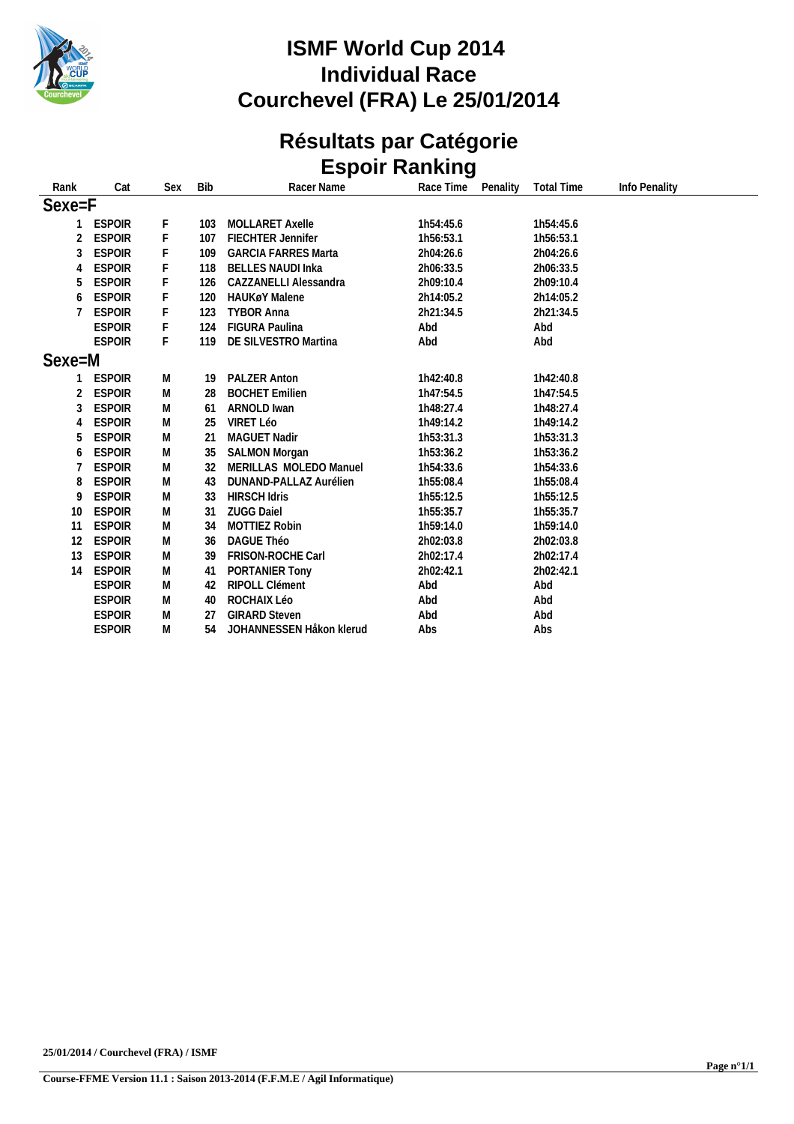

# **Résultats par Catégorie Espoir Ranking**

| Rank            | Cat           | Sex | <b>Bib</b> | Racer Name                 | Race Time | Penality | <b>Total Time</b> | Info Penality |
|-----------------|---------------|-----|------------|----------------------------|-----------|----------|-------------------|---------------|
| Sexe=F          |               |     |            |                            |           |          |                   |               |
|                 | <b>ESPOIR</b> | F   | 103        | <b>MOLLARET Axelle</b>     | 1h54:45.6 |          | 1h54:45.6         |               |
| 2               | <b>ESPOIR</b> | F   | 107        | <b>FIECHTER Jennifer</b>   | 1h56:53.1 |          | 1h56:53.1         |               |
| 3               | <b>ESPOIR</b> | F   | 109        | <b>GARCIA FARRES Marta</b> | 2h04:26.6 |          | 2h04:26.6         |               |
| 4               | <b>ESPOIR</b> |     | 118        | <b>BELLES NAUDI Inka</b>   | 2h06:33.5 |          | 2h06:33.5         |               |
| 5               | <b>ESPOIR</b> |     | 126        | CAZZANELLI Alessandra      | 2h09:10.4 |          | 2h09:10.4         |               |
| 6               | <b>ESPOIR</b> |     | 120        | <b>HAUKøY Malene</b>       | 2h14:05.2 |          | 2h14:05.2         |               |
|                 | <b>ESPOIR</b> |     | 123        | <b>TYBOR Anna</b>          | 2h21:34.5 |          | 2h21:34.5         |               |
|                 | <b>ESPOIR</b> | F   | 124        | <b>FIGURA Paulina</b>      | Abd       |          | Abd               |               |
|                 | <b>ESPOIR</b> | F   | 119        | DE SILVESTRO Martina       | Abd       |          | Abd               |               |
| Sexe=M          |               |     |            |                            |           |          |                   |               |
|                 | <b>ESPOIR</b> | M   | 19         | <b>PALZER Anton</b>        | 1h42:40.8 |          | 1h42:40.8         |               |
| 2               | <b>ESPOIR</b> | M   | 28         | <b>BOCHET Emilien</b>      | 1h47:54.5 |          | 1h47:54.5         |               |
| 3               | <b>ESPOIR</b> | M   | 61         | <b>ARNOLD Iwan</b>         | 1h48:27.4 |          | 1h48:27.4         |               |
| 4               | <b>ESPOIR</b> | M   | 25         | VIRET Léo                  | 1h49:14.2 |          | 1h49:14.2         |               |
| 5               | <b>ESPOIR</b> | M   | 21         | <b>MAGUET Nadir</b>        | 1h53:31.3 |          | 1h53:31.3         |               |
| 6               | <b>ESPOIR</b> | M   | 35         | <b>SALMON Morgan</b>       | 1h53:36.2 |          | 1h53:36.2         |               |
|                 | <b>ESPOIR</b> | M   | 32         | MERILLAS MOLEDO Manuel     | 1h54:33.6 |          | 1h54:33.6         |               |
| 8               | <b>ESPOIR</b> | M   | 43         | DUNAND-PALLAZ Aurélien     | 1h55:08.4 |          | 1h55:08.4         |               |
| 9               | <b>ESPOIR</b> | M   | 33         | <b>HIRSCH Idris</b>        | 1h55:12.5 |          | 1h55:12.5         |               |
| 10 <sup>°</sup> | <b>ESPOIR</b> | M   | 31         | <b>ZUGG Daiel</b>          | 1h55:35.7 |          | 1h55:35.7         |               |
| 11              | <b>ESPOIR</b> | M   | 34         | <b>MOTTIEZ Robin</b>       | 1h59:14.0 |          | 1h59:14.0         |               |
| 12              | <b>ESPOIR</b> | M   | 36         | DAGUE Théo                 | 2h02:03.8 |          | 2h02:03.8         |               |
| 13              | <b>ESPOIR</b> | M   | 39         | FRISON-ROCHE Carl          | 2h02:17.4 |          | 2h02:17.4         |               |
| 14              | <b>ESPOIR</b> | M   | 41         | PORTANIER Tony             | 2h02:42.1 |          | 2h02:42.1         |               |
|                 | <b>ESPOIR</b> | M   | 42         | <b>RIPOLL Clément</b>      | Abd       |          | Abd               |               |
|                 | <b>ESPOIR</b> | M   | 40         | ROCHAIX Léo                | Abd       |          | Abd               |               |
|                 | <b>ESPOIR</b> | M   | 27         | <b>GIRARD Steven</b>       | Abd       |          | Abd               |               |
|                 | <b>ESPOIR</b> | M   | 54         | JOHANNESSEN Håkon klerud   | Abs       |          | Abs               |               |
|                 |               |     |            |                            |           |          |                   |               |